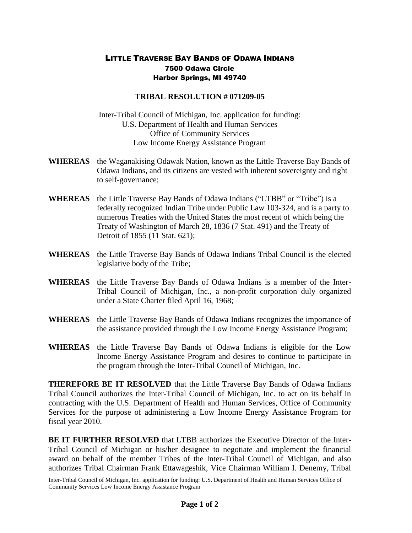## LITTLE TRAVERSE BAY BANDS OF ODAWA INDIANS 7500 Odawa Circle Harbor Springs, MI 49740

## **TRIBAL RESOLUTION # 071209-05**

Inter-Tribal Council of Michigan, Inc. application for funding: U.S. Department of Health and Human Services Office of Community Services Low Income Energy Assistance Program

- **WHEREAS** the Waganakising Odawak Nation, known as the Little Traverse Bay Bands of Odawa Indians, and its citizens are vested with inherent sovereignty and right to self-governance;
- **WHEREAS** the Little Traverse Bay Bands of Odawa Indians ("LTBB" or "Tribe") is a federally recognized Indian Tribe under Public Law 103-324, and is a party to numerous Treaties with the United States the most recent of which being the Treaty of Washington of March 28, 1836 (7 Stat. 491) and the Treaty of Detroit of 1855 (11 Stat. 621);
- **WHEREAS** the Little Traverse Bay Bands of Odawa Indians Tribal Council is the elected legislative body of the Tribe;
- **WHEREAS** the Little Traverse Bay Bands of Odawa Indians is a member of the Inter-Tribal Council of Michigan, Inc., a non-profit corporation duly organized under a State Charter filed April 16, 1968;
- **WHEREAS** the Little Traverse Bay Bands of Odawa Indians recognizes the importance of the assistance provided through the Low Income Energy Assistance Program;
- **WHEREAS** the Little Traverse Bay Bands of Odawa Indians is eligible for the Low Income Energy Assistance Program and desires to continue to participate in the program through the Inter-Tribal Council of Michigan, Inc.

**THEREFORE BE IT RESOLVED** that the Little Traverse Bay Bands of Odawa Indians Tribal Council authorizes the Inter-Tribal Council of Michigan, Inc. to act on its behalf in contracting with the U.S. Department of Health and Human Services, Office of Community Services for the purpose of administering a Low Income Energy Assistance Program for fiscal year 2010.

**BE IT FURTHER RESOLVED** that LTBB authorizes the Executive Director of the Inter-Tribal Council of Michigan or his/her designee to negotiate and implement the financial award on behalf of the member Tribes of the Inter-Tribal Council of Michigan, and also authorizes Tribal Chairman Frank Ettawageshik, Vice Chairman William I. Denemy, Tribal

Inter-Tribal Council of Michigan, Inc. application for funding: U.S. Department of Health and Human Services Office of Community Services Low Income Energy Assistance Program